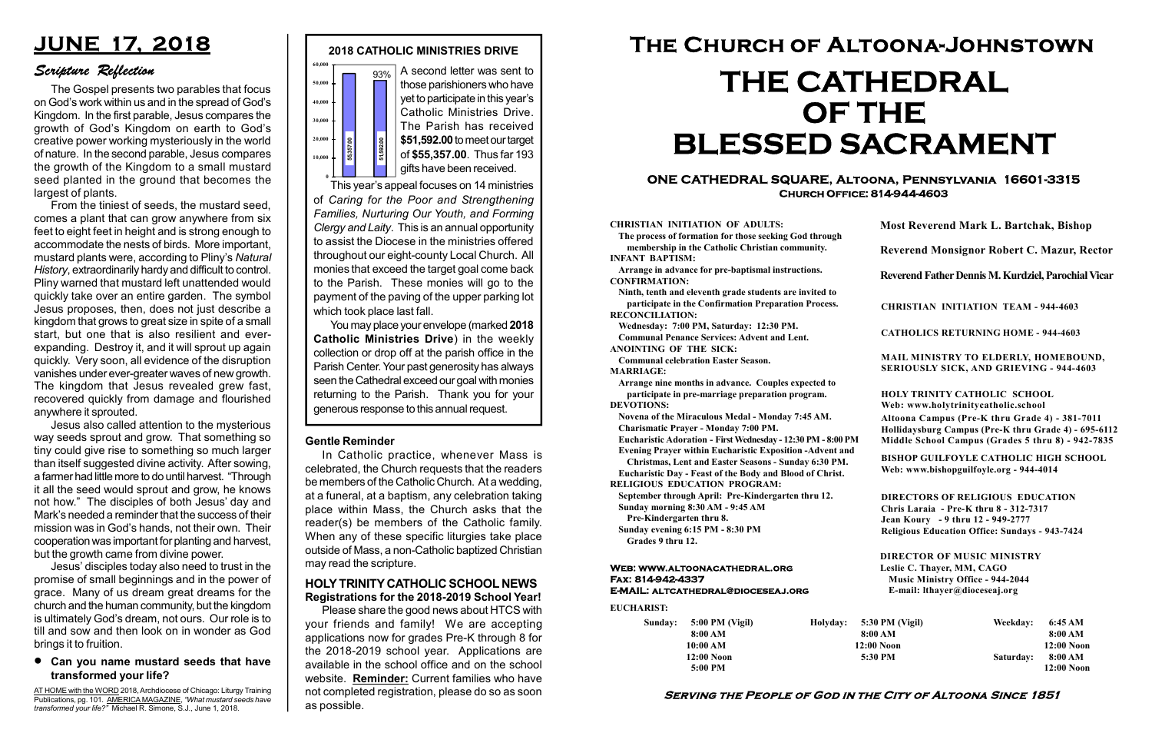#### Serving the People of God in the City of Altoona Since 1851

Sunday: 5:00 PM (Vigil) 8:00 AM 10:00 AM 12:00 Noon 5:00 PM

Holyday:

#### Web: www.altoonacathedral.org Fax: 814-942-4337 E-MAIL: altcathedral@dioceseaj.org

EUCHARIST:

#### CHRISTIAN INITIATION OF ADULTS:

The process of formation for those seeking God through membership in the Catholic Christian community. INFANT BAPTISM:

Arrange in advance for pre-baptismal instructions. CONFIRMATION:

Ninth, tenth and eleventh grade students are invited to participate in the Confirmation Preparation Process. RECONCILIATION:

Wednesday: 7:00 PM, Saturday: 12:30 PM. Communal Penance Services: Advent and Lent. ANOINTING OF THE SICK:

Communal celebration Easter Season.

MARRIAGE:

Arrange nine months in advance. Couples expected to participate in pre-marriage preparation program. DEVOTIONS:

Novena of the Miraculous Medal - Monday 7:45 AM. Charismatic Prayer - Monday 7:00 PM.

Eucharistic Adoration - First Wednesday - 12:30 PM - 8:00 PM

Evening Prayer within Eucharistic Exposition -Advent and

Christmas, Lent and Easter Seasons - Sunday 6:30 PM. Eucharistic Day - Feast of the Body and Blood of Christ.

|                       | <b>Most Reverend Mark L. Bartchak, Bishop</b><br>Reverend Monsignor Robert C. Mazur, Rector                                                                                     |           |                         |
|-----------------------|---------------------------------------------------------------------------------------------------------------------------------------------------------------------------------|-----------|-------------------------|
|                       |                                                                                                                                                                                 |           |                         |
|                       | Reverend Father Dennis M. Kurdziel, Parochial Vicar                                                                                                                             |           |                         |
|                       | <b>CHRISTIAN INITIATION TEAM - 944-4603</b>                                                                                                                                     |           |                         |
|                       | <b>CATHOLICS RETURNING HOME - 944-4603</b>                                                                                                                                      |           |                         |
|                       | MAIL MINISTRY TO ELDERLY, HOMEBOUND,<br>SERIOUSLY SICK, AND GRIEVING - 944-4603                                                                                                 |           |                         |
|                       | <b>HOLY TRINITY CATHOLIC SCHOOL</b><br>Web: www.holytrinitycatholic.school                                                                                                      |           |                         |
| М                     | Altoona Campus (Pre-K thru Grade 4) - 381-7011<br>Hollidaysburg Campus (Pre-K thru Grade 4) - 695-6112<br>Middle School Campus (Grades 5 thru 8) - 942-7835                     |           |                         |
| ł                     | <b>BISHOP GUILFOYLE CATHOLIC HIGH SCHOOL</b><br>Web: www.bishopguilfoyle.org - 944-4014                                                                                         |           |                         |
|                       | <b>DIRECTORS OF RELIGIOUS EDUCATION</b><br>Chris Laraia - Pre-K thru 8 - 312-7317<br>Jean Koury - 9 thru 12 - 949-2777<br><b>Religious Education Office: Sundays - 943-7424</b> |           |                         |
|                       | <b>DIRECTOR OF MUSIC MINISTRY</b><br>Leslie C. Thayer, MM, CAGO<br><b>Music Ministry Office - 944-2044</b><br>E-mail: lthayer@dioceseaj.org                                     |           |                         |
| 5:30 PM (Vigil)       |                                                                                                                                                                                 | Weekday:  | 6:45 AM                 |
| 8:00 AM<br>12:00 Noon |                                                                                                                                                                                 |           | 8:00 AM<br>12:00 Noon   |
| 5:30 PM               |                                                                                                                                                                                 | Saturday: | 8:00 AM<br>$12:00$ Noon |
|                       |                                                                                                                                                                                 |           |                         |

RELIGIOUS EDUCATION PROGRAM:



September through April: Pre-Kindergarten thru 12. Sunday morning 8:30 AM - 9:45 AM

This year's appeal focuses on 14 ministries of Caring for the Poor and Strengthening Families, Nurturing Our Youth, and Forming Clergy and Laity. This is an annual opportunity to assist the Diocese in the ministries offered throughout our eight-county Local Church. All monies that exceed the target goal come back to the Parish. These monies will go to the payment of the paving of the upper parking lot which took place last fall. generous response to this annual request.<br>
This year's appeal focuses on 14 ministries<br>
of \$55,357.00. Thus far 193<br>
of \$55,357.00. Thus far 193<br>
Fins year's appeal focuses on 14 ministries<br>
of Caring for the Poor and Stre

Pre-Kindergarten thru 8.

Sunday evening 6:15 PM - 8:30 PM Grades 9 thru 12.

#### ONE CATHEDRAL SQUARE, Altoona, Pennsylvania 16601-3315 Church Office: 814-944-4603

# The Church of Altoona-Johnstown THE CATHEDRAL OF THE BLESSED SACRAMENT

those parishioners who have yet to participate in this year's Catholic Ministries Drive. The Parish has received \$51,592.00 to meet our target of \$55,357.00. Thus far 193 gifts have been received.

You may place your envelope (marked 2018 Catholic Ministries Drive) in the weekly collection or drop off at the parish office in the Parish Center. Your past generosity has always seen the Cathedral exceed our goal with monies returning to the Parish. Thank you for your

# JUNE 17, 2018

### Scripture Reflection

#### Can you name mustard seeds that have transformed your life?

The Gospel presents two parables that focus on God's work within us and in the spread of God's Kingdom. In the first parable, Jesus compares the growth of God's Kingdom on earth to God's creative power working mysteriously in the world of nature. In the second parable, Jesus compares the growth of the Kingdom to a small mustard seed planted in the ground that becomes the largest of plants.

From the tiniest of seeds, the mustard seed, comes a plant that can grow anywhere from six feet to eight feet in height and is strong enough to accommodate the nests of birds. More important, mustard plants were, according to Pliny's Natural History, extraordinarily hardy and difficult to control. Pliny warned that mustard left unattended would quickly take over an entire garden. The symbol Jesus proposes, then, does not just describe a kingdom that grows to great size in spite of a small start, but one that is also resilient and everexpanding. Destroy it, and it will sprout up again quickly. Very soon, all evidence of the disruption vanishes under ever-greater waves of new growth. The kingdom that Jesus revealed grew fast, recovered quickly from damage and flourished anywhere it sprouted.

Jesus also called attention to the mysterious way seeds sprout and grow. That something so tiny could give rise to something so much larger than itself suggested divine activity. After sowing, a farmer had little more to do until harvest. "Through it all the seed would sprout and grow, he knows not how." The disciples of both Jesus' day and Mark's needed a reminder that the success of their mission was in God's hands, not their own. Their cooperation was important for planting and harvest, but the growth came from divine power.

Jesus' disciples today also need to trust in the promise of small beginnings and in the power of grace. Many of us dream great dreams for the church and the human community, but the kingdom is ultimately God's dream, not ours. Our role is to till and sow and then look on in wonder as God brings it to fruition.

AT HOME with the WORD 2018, Archdiocese of Chicago: Liturgy Training Publications, pg. 101. AMERICA MAGAZINE, "What mustard seeds have transformed your life?" Michael R. Simone, S.J., June 1, 2018.

#### Gentle Reminder

In Catholic practice, whenever Mass is celebrated, the Church requests that the readers be members of the Catholic Church. At a wedding, at a funeral, at a baptism, any celebration taking place within Mass, the Church asks that the reader(s) be members of the Catholic family. When any of these specific liturgies take place outside of Mass, a non-Catholic baptized Christian may read the scripture.

#### HOLY TRINITY CATHOLIC SCHOOL NEWS Registrations for the 2018-2019 School Year!

Please share the good news about HTCS with your friends and family! We are accepting applications now for grades Pre-K through 8 for the 2018-2019 school year. Applications are available in the school office and on the school website. Reminder: Current families who have not completed registration, please do so as soon as possible.